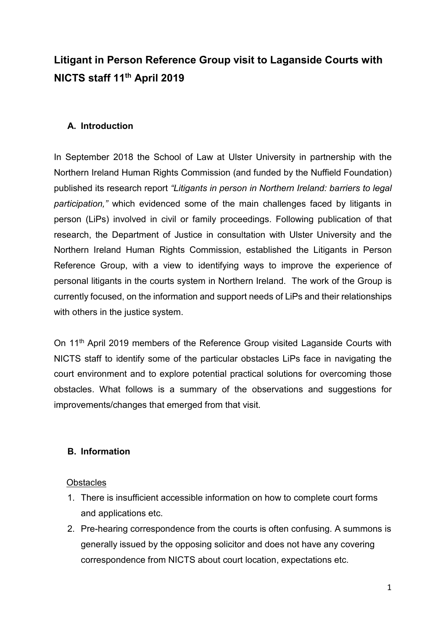# Litigant in Person Reference Group visit to Laganside Courts with NICTS staff 11th April 2019

## A. Introduction

In September 2018 the School of Law at Ulster University in partnership with the Northern Ireland Human Rights Commission (and funded by the Nuffield Foundation) published its research report "Litigants in person in Northern Ireland: barriers to legal participation," which evidenced some of the main challenges faced by litigants in person (LiPs) involved in civil or family proceedings. Following publication of that research, the Department of Justice in consultation with Ulster University and the Northern Ireland Human Rights Commission, established the Litigants in Person Reference Group, with a view to identifying ways to improve the experience of personal litigants in the courts system in Northern Ireland. The work of the Group is currently focused, on the information and support needs of LiPs and their relationships with others in the justice system.

On 11<sup>th</sup> April 2019 members of the Reference Group visited Laganside Courts with NICTS staff to identify some of the particular obstacles LiPs face in navigating the court environment and to explore potential practical solutions for overcoming those obstacles. What follows is a summary of the observations and suggestions for improvements/changes that emerged from that visit.

## B. Information

#### **Obstacles**

- 1. There is insufficient accessible information on how to complete court forms and applications etc.
- 2. Pre-hearing correspondence from the courts is often confusing. A summons is generally issued by the opposing solicitor and does not have any covering correspondence from NICTS about court location, expectations etc.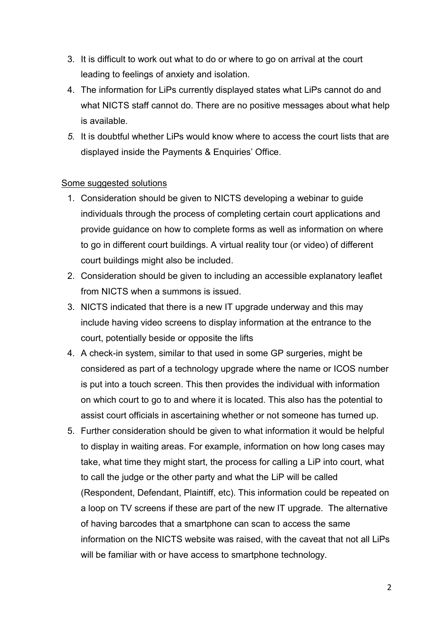- 3. It is difficult to work out what to do or where to go on arrival at the court leading to feelings of anxiety and isolation.
- 4. The information for LiPs currently displayed states what LiPs cannot do and what NICTS staff cannot do. There are no positive messages about what help is available.
- 5. It is doubtful whether LiPs would know where to access the court lists that are displayed inside the Payments & Enquiries' Office.

### Some suggested solutions

- 1. Consideration should be given to NICTS developing a webinar to guide individuals through the process of completing certain court applications and provide guidance on how to complete forms as well as information on where to go in different court buildings. A virtual reality tour (or video) of different court buildings might also be included.
- 2. Consideration should be given to including an accessible explanatory leaflet from NICTS when a summons is issued.
- 3. NICTS indicated that there is a new IT upgrade underway and this may include having video screens to display information at the entrance to the court, potentially beside or opposite the lifts
- 4. A check-in system, similar to that used in some GP surgeries, might be considered as part of a technology upgrade where the name or ICOS number is put into a touch screen. This then provides the individual with information on which court to go to and where it is located. This also has the potential to assist court officials in ascertaining whether or not someone has turned up.
- 5. Further consideration should be given to what information it would be helpful to display in waiting areas. For example, information on how long cases may take, what time they might start, the process for calling a LiP into court, what to call the judge or the other party and what the LiP will be called (Respondent, Defendant, Plaintiff, etc). This information could be repeated on a loop on TV screens if these are part of the new IT upgrade. The alternative of having barcodes that a smartphone can scan to access the same information on the NICTS website was raised, with the caveat that not all LiPs will be familiar with or have access to smartphone technology.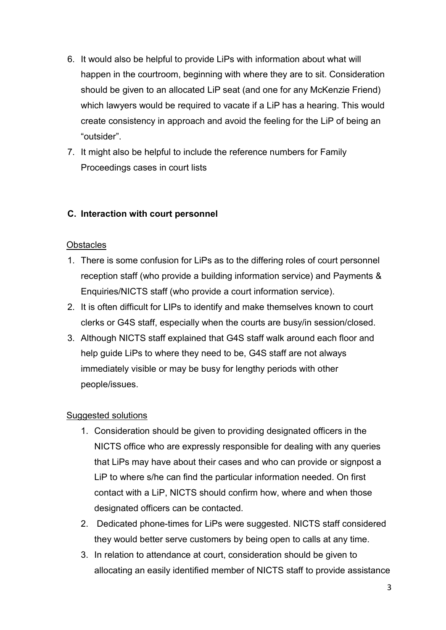- 6. It would also be helpful to provide LiPs with information about what will happen in the courtroom, beginning with where they are to sit. Consideration should be given to an allocated LiP seat (and one for any McKenzie Friend) which lawyers would be required to vacate if a LiP has a hearing. This would create consistency in approach and avoid the feeling for the LiP of being an "outsider".
- 7. It might also be helpful to include the reference numbers for Family Proceedings cases in court lists

## C. Interaction with court personnel

#### **Obstacles**

- 1. There is some confusion for LiPs as to the differing roles of court personnel reception staff (who provide a building information service) and Payments & Enquiries/NICTS staff (who provide a court information service).
- 2. It is often difficult for LIPs to identify and make themselves known to court clerks or G4S staff, especially when the courts are busy/in session/closed.
- 3. Although NICTS staff explained that G4S staff walk around each floor and help guide LiPs to where they need to be, G4S staff are not always immediately visible or may be busy for lengthy periods with other people/issues.

#### Suggested solutions

- 1. Consideration should be given to providing designated officers in the NICTS office who are expressly responsible for dealing with any queries that LiPs may have about their cases and who can provide or signpost a LiP to where s/he can find the particular information needed. On first contact with a LiP, NICTS should confirm how, where and when those designated officers can be contacted.
- 2. Dedicated phone-times for LiPs were suggested. NICTS staff considered they would better serve customers by being open to calls at any time.
- 3. In relation to attendance at court, consideration should be given to allocating an easily identified member of NICTS staff to provide assistance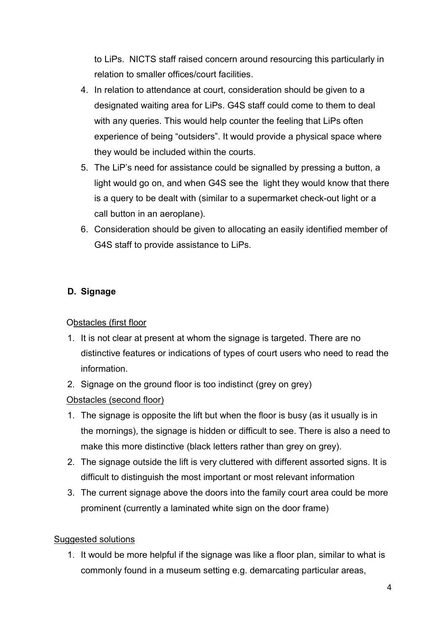to LiPs. NICTS staff raised concern around resourcing this particularly in relation to smaller offices/court facilities.

- 4. In relation to attendance at court, consideration should be given to a designated waiting area for LiPs. G4S staff could come to them to deal with any queries. This would help counter the feeling that LiPs often experience of being "outsiders". It would provide a physical space where they would be included within the courts.
- 5. The LiP's need for assistance could be signalled by pressing a button, a light would go on, and when G4S see the light they would know that there is a query to be dealt with (similar to a supermarket check-out light or a call button in an aeroplane).
- 6. Consideration should be given to allocating an easily identified member of G4S staff to provide assistance to LiPs.

# D. Signage

# Obstacles (first floor

- 1. It is not clear at present at whom the signage is targeted. There are no distinctive features or indications of types of court users who need to read the information.
- 2. Signage on the ground floor is too indistinct (grey on grey)

# Obstacles (second floor)

- 1. The signage is opposite the lift but when the floor is busy (as it usually is in the mornings), the signage is hidden or difficult to see. There is also a need to make this more distinctive (black letters rather than grey on grey).
- 2. The signage outside the lift is very cluttered with different assorted signs. It is difficult to distinguish the most important or most relevant information
- 3. The current signage above the doors into the family court area could be more prominent (currently a laminated white sign on the door frame)

# Suggested solutions

1. It would be more helpful if the signage was like a floor plan, similar to what is commonly found in a museum setting e.g. demarcating particular areas,